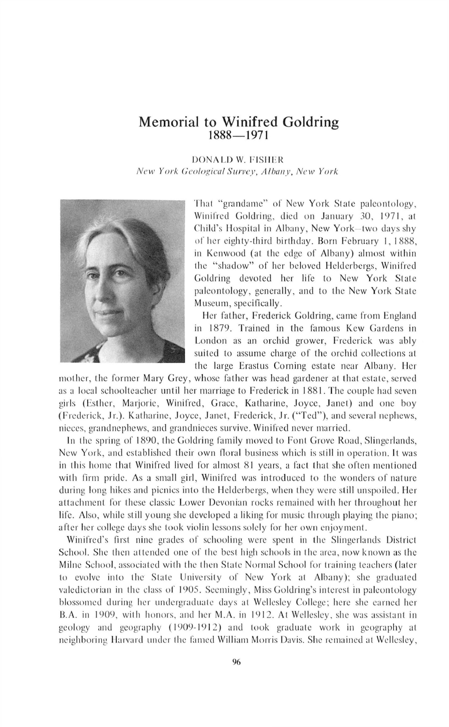## **Memorial to Winifred Goldring** 1888— 1971

DONALD W. FISHER

*N e w Y o rk G eological S u rve y, A lb a n y, N e w Y ork*



Thai "grandame" of New York State paleontology, Winifred Goldring, died on January 30, 1971, at Child's Hospital in Albany, New York—two days shy of her eighty-third birthday. Born February I, 1888, in Kenwood (at the edge of Albany) almost within the "shadow" of her beloved Helderbergs, Winifred Goldring devoted her life to New York State paleontology, generally, and to the New York State Museum, specifically.

Her father, Frederick Goldring, came from England in 1879. Trained in the famous Kew Gardens in London as an orchid grower, Frederick was ably suited to assume charge of the orchid collections at the large Erastus Corning estate near Albany. Her

mother, the former Mary Grey, whose father was head gardener at that estate, served as a local schoolteacher until her marriage to Frederick in 1881. The couple had seven girls (Esther, Marjorie, Winifred, Grace, Katharine, Joyce, Janet) and one boy (Frederick, Jr.). Katharine, Joyce, Janet, Frederick, Jr. ("Ted"), and several nephews, nieces, grandnephews, and grandnieces survive. Winifred never married.

In the spring of 1890, the Goldring family moved to Font Grove Road, Slingerlands, New York, and established their own floral business which is still in operation. It was in this home that Winifred lived for almost 81 years, a fact that she often mentioned with firm pride. As a small girl, Winifred was introduced to the wonders of nature during long hikes and picnics into the Helderbergs, when they were still unspoiled. Her attachment for these classic Lower Devonian rocks remained with her throughout her life. Also, while still young she developed a liking for music through playing the piano; after her college days she took violin lessons solely for her own enjoyment.

Winifred's first nine grades of schooling were spent in the Slingerlands District School. She then attended one of the best high schools in the area, now known as the Milne School, associated with the then State Normal School for training teachers (later to evolve into the Slate University of New York at Albany); she graduated valedictorian in the class of 1905. Seemingly, Miss Goldring's interest in paleontology blossomed during her undergraduate days at Wellesley College; here she earned her B.A. in 1909, with honors, and her M.A. in 1912. At Wellesley, she was assistant in geology and geography (1909-1912) and took graduate work in geography at neighboring Harvard under the famed William Morris Davis. She remained at Wellesley,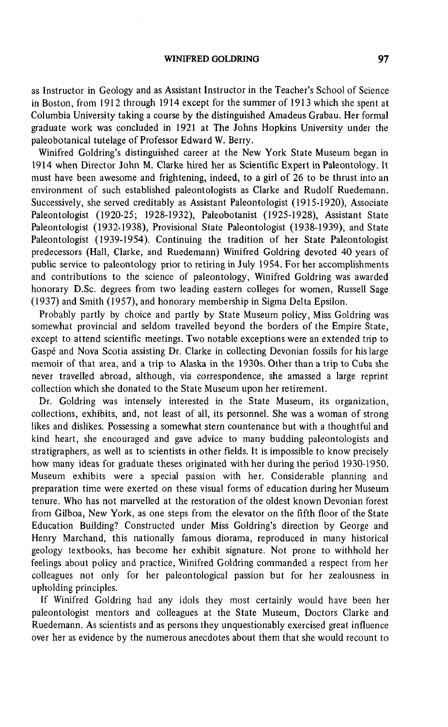## WINIFRED GOLDRING 97

as Instructor in Geology and as Assistant Instructor in the Teacher's School of Science in Boston, from 1912 through 1914 except for the summer of 1913 which she spent at **Columbia University taking a course by the distinguished Amadeus Grabau. Her formal graduate work was concluded in 1921 at The Johns Hopkins University under the** paleobotanical tutelage of Professor Edward W. Berry.

**Winifred Goldring's distinguished career at the New York State Museum began in 1914 when Director John M. Clarke hired her as Scientific Expert in Paleontology. It** must have been awesome and frightening, indeed, to a girl of 26 to be thrust into an environment of such established paleontologists as Clarke and Rudolf Ruedemann. **Successively, she served creditably as Assistant Paleontologist (1915-1920), Associate Paleontologist (1920-25; 1928-1932), Paleobotanist (1925-1928), Assistant State Paleontologist (1932-1938), Provisional State Paleontologist (1938-1939), and State** Paleontologist (1939-1954). Continuing the tradition of her State Paleontologist predecessors (Hall, Clarke, and Ruedemann) Winifred Goldring devoted 40 years of **public service to paleontology prior to retiring in July 1954. For her accomplishments and contributions to the science of paleontology, Winifred Goldring was awarded honorary D.Sc. degrees from two leading eastern colleges for women, Russell Sage (1937) and Smith (1957), and honorary membership in Sigma Delta Epsilon.**

**Probably partly by choice and partly by State Museum policy, Miss Goldring was** somewhat provincial and seldom travelled beyond the borders of the Empire State, **except to attend scientific meetings. Two notable exceptions were an extended trip to Gaspe and Nova Scotia assisting Dr. Clarke in collecting Devonian fossils for his large** memoir of that area, and a trip to Alaska in the 1930s. Other than a trip to Cuba she **never travelled abroad, although, via correspondence, she amassed a large reprint collection which she donated to the State Museum upon her retirement.**

**Dr. Goldring was intensely interested in the State Museum, its organization,** collections, exhibits, and, not least of all, its personnel. She was a woman of strong **likes and dislikes. Possessing a somewhat stern countenance but with a thoughtful and kind heart, she encouraged and gave advice to many budding paleontologists and stratigraphers, as well as to scientists in other fields. It is impossible to know precisely how many ideas for graduate theses originated with her during the period 1930-1950. Museum exhibits were a special passion with her. Considerable planning and** preparation time were exerted on these visual forms of education during her Museum tenure. Who has not marvelled at the restoration of the oldest known Devonian forest from Gilboa, New York, as one steps from the elevator on the fifth floor of the State **Education Building? Constructed under Miss Goldring's direction by George and Henry Marchand, this nationally famous diorama, reproduced in many historical geology textbooks, has become her exhibit signature. Not prone to withhold her feelings about policy and practice, Winifred Goldring commanded a respect from her colleagues not only for her paleontological passion but for her zealousness in upholding principles.**

**If Winifred Goldring had any idols they most certainly would have been her paleontologist mentors and colleagues at the State Museum, Doctors Clarke and Ruedemann. As scientists and as persons they unquestionably exercised great influence over her as evidence by the numerous anecdotes about them that she would recount to**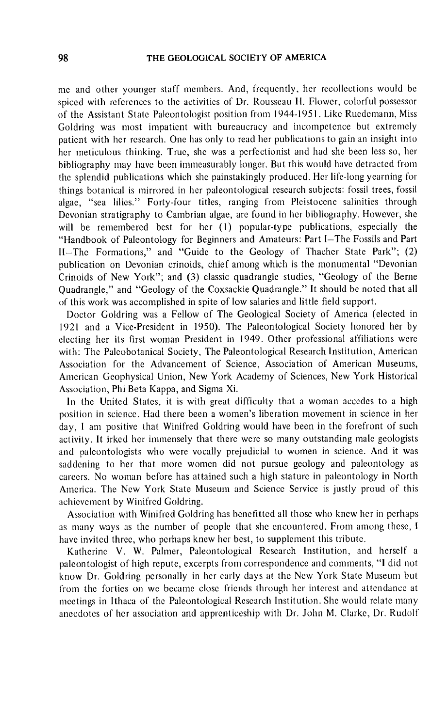me and other younger staff members. And, frequently, her rccollcctions would be spiced with references to the activities of Dr. Rousseau H. Flower, colorful possessor of the Assistant State Paleontologist position from 1944-1951. Like Rucdcmann, Miss Goldring was most impatient with bureaucracy and incompetcnce but extremely patient with her research. One has only to read her publications to gain an insight into her meticulous thinking. True, she was a perfectionist and had she been less so, her bibliography may have been immeasurably longer. But this would have detracted from the splendid publications which she painstakingly produced. Her life-long yearning for things botanical is mirrored in her paleontological research subjects: fossil trees, fossil algae, " sea lilies." Forty-four titles, ranging from Pleistocene salinities through Devonian stratigraphy to Cambrian algae, are found in her bibliography. However, she will be remembered best for her (1) popular-type publications, especially the " Handbook of Paleontology for Beginners and Amateurs: Part I—The Fossils and Part II-The Formations," and "Guide to the Geology of Thacher State Park"; (2) publication on Devonian crinoids, chief among which is the monumental "Devonian Crinoids of New York"; and (3) classic quadrangle studies, "Geology of the Berne Quadrangle," and "Geology of the Coxsackie Quadrangle." It should be noted that all of this work was accomplished in spite of low salaries and little field support.

Doctor Goldring was a Fellow of The Geological Society of America (elected in 1921 and a Vice-President in 1950). The Paleontological Society honored her by electing her its first woman President in 1949. Other professional affiliations were with: The Paleobotanical Society, The Paleontological Research Institution, American Association for the Advancement of Science, Association of American Museums, American Geophysical Union, New York Academy of Sciences, New York Historical Association, Phi Beta Kappa, and Sigma Xi.

In the United States, it is with great difficulty that a woman accedes to a high position in science. Had there been a women's liberation movement in science in her day, I am positive that Winifred Goldring would have been in the forefront of such activity. It irked her immensely that there were so many outstanding male geologists and paleontologists who were vocally prejudicial to women in science. And it was saddening to her that more women did not pursue geology and paleontology as careers. No woman before has attained such a high stature in paleontology in North America. The New York State Museum and Science Service is justly proud of this achievement by Winifred Goldring.

Association with Winifred Goldring has benefittcd all those who knew her in perhaps as many ways as the number of people that she encountered. From among these, 1 have invited three, who perhaps knew her best, to supplement this tribute.

Katherine V. W. Palmer, Paleontological Research Institution, and herself a paleontologist of high repute, excerpts from correspondence and comments, " I did not know Dr. Goldring personally in her early days at the New York State Museum but from the forties on we became close friends through her interest and attendance at meetings in Ithaca of the Paleontological Research Institution. She would relate many anecdotes of her association and apprenticeship with Dr. John M. Clarke, Dr. Rudolf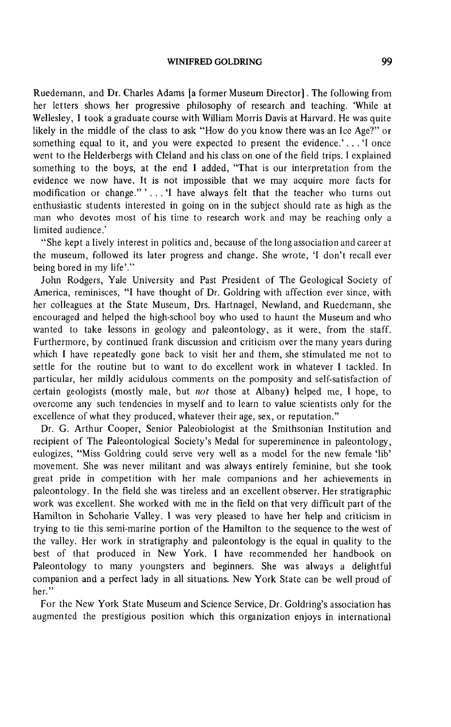## **WINIFRED GOLDRING** 99

Ruedemann, and Dr. Charles Adams [a former Museum Director]. The following from her letters shows her progressive philosophy of research and teaching. 'While at Wellesley, I took a graduate course with William Morris Davis at Harvard. He was quite likely in the middle of the class to ask "How do you know there was an Ice Age?" or something equal to it, and you were expected to present the evidence.' . . . 'I once went to the Helderbergs with Cleland and his class on one of the field trips. I explained something to the boys, at the end I added, "That is our interpretation from the evidence we now have. It is not impossible that we may acquire more facts for modification or change."'...'I have always felt that the teacher who turns out enthusiastic students interested in going on in the subject should rate as high as the man who devotes most of his time to research work and may be reaching only a limited audience.'

" She kept a lively interest in politics and, because of the long association and career at the museum, followed its later progress and change. She wrote, 'I don't recall ever being bored in my life'."

John Rodgers, Yale University and Past President of The Geological Society of America, reminisces, "I have thought of Dr. Goldring with affection ever since, with her colleagues at the State Museum, Drs. Hartnagel, Newland, and Ruedemann, she encouraged and helped the high-school boy who used to haunt the Museum and who wanted to take lessons in geology and paleontology, as it were, from the staff. Furthermore, by continued frank discussion and criticism over the many years during which I have repeatedly gone back to visit her and them, she stimulated me not to settle for the routine but to want to do excellent work in whatever I tackled. In particular, her mildly acidulous comments on the pomposity and self-satisfaction of certain geologists (mostly male, but *not* those at Albany) helped me, I hope, to overcome any such tendencies in myself and to learn to value scientists only for the excellence of what they produced, whatever their age, sex, or reputation."

Dr. G. Arthur Cooper, Senior Paleobiologist at the Smithsonian Institution and recipient of The Paleontological Society's Medal for supereminence in paleontology, eulogizes, " Miss Goldring could serve very well as a model for the new female 'lib' movement. She was never militant and was always entirely feminine, but she took great pride in competition with her male companions and her achievements in paleontology. In the field she was tireless and an excellent observer. Her stratigraphic work was excellent. She worked with me in the field on that very difficult part of the Hamilton in Schoharie Valley. 1 was very pleased to have her help and criticism in trying to tie this semi-marine portion of the Hamilton to the sequence to the west of the valley. Her work in stratigraphy and paleontology is the equal in quality to the best of that produced in New York. I have recommended her handbook on Paleontology to many youngsters and beginners. She was always a delightful companion and a perfect lady in all situations. New York State can be well proud of her."

For the New York State Museum and Science Service, Dr. Goldring's association has augmented the prestigious position which this organization enjoys in international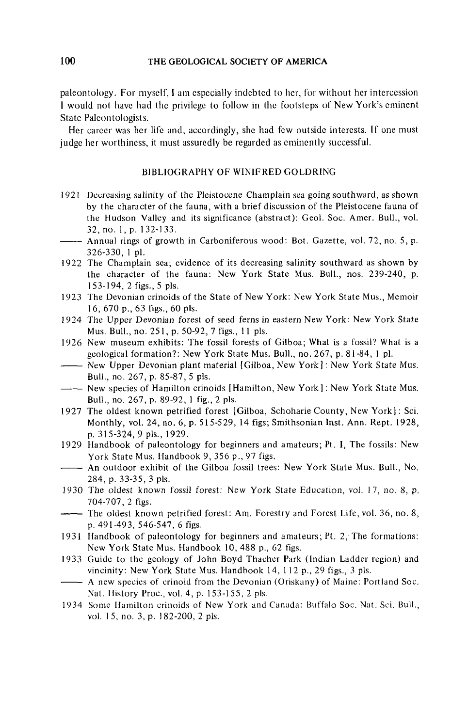paleontology. For myself, I am especially indebted to her, for without her intercession I would not have had the privilege to follow in the footsteps of New York's eminent State Paleontologists.

Her career was her life and, accordingly, she had few outside interests. If one must judge her worthiness, it must assuredly be regarded as eminently successful.

## BIBLIOGRAPHY OF WINIFRED GOLDRING

- 1921 Decreasing salinity of the Pleistocene Champlain sea going southward, as shown by the character of the fauna, with a brief discussion of the Pleistocene fauna of the Hudson Valley and its significance (abstract): Geol. Soc. Amer. Bull., vol. 32, no. 1, p. 132-133.
- ------- Annual rings of growth in Carboniferous wood: Bot. Gazette, vol. 72, no. 5, p. 326-330, 1 pi.
- 1922 The Champlain sea; evidence of its decreasing salinity southward as shown by the character of the fauna: New York State Mus. Bull., nos. 239-240, p. 1 53-194, 2 figs., 5 pis.
- 1923 The Devonian crinoids of the State of New York: New York State Mus., Memoir 1 6, 670 p., 63 figs., 60 pis.
- 1 924 The Upper Devonian forest of seed ferns in eastern New York: New York State Mus. Bull., no. 25 1, p. 50-92, 7 figs., 11 pis.
- 1926 New museum exhibits: The fossil forests of Gilboa; What is a fossil? What is a geological formation?: New York State Mus. Bull., no. 267, p. 81-84, 1 pi.
- ------- New Upper Devonian plant material [Gilboa, New York]: New York State Mus. Bull., no. 267, p. 85-87, 5 pis.
- ------ New species of Hamilton crinoids [Hamilton, New York] : New York State Mus. Bull., no. 267, p. 89-92, 1 fig., 2 pis.
- 1927 The oldest known petrified forest [Gilboa, Schoharie County, New York] : Sci. Monthly, vol. 24, no. 6, p. 515-529, 14 figs; Smithsonian Inst. Ann. Rept. 1928, p. 315-324, 9 pis., 1929.
- 1929 Handbook of paleontology for beginners and amateurs; Pt. I, The fossils: New York State Mus. Handbook 9, 356 p., 97 figs.
- $-$ -- An outdoor exhibit of the Gilboa fossil trees: New York State Mus. Bull., No. 284, p. 33-35, 3 pis.
- 1930 The oldest known fossil forest: New York State Education, vol. 17, no. 8, p. 704-707, 2 figs.
- ------- The oldest known petrified forest: Am. Forestry and Forest Life, vol. 36, no. 8, p. 491-493, 546-547, 6 figs.
- 1931 Handbook of paleontology for beginners and amateurs; Pt. 2, The formations: New York State Mus. Handbook 10, 488 p., 62 figs.
- 1933 Guide to the geology of John Boyd Thacher Park (Indian Ladder region) and vincinity: New York State Mus. Handbook 14, 112 p., 29 figs., 3 pis.
- ------- A new species of crinoid from the Devonian (Oriskany) of Maine: Portland Soc. Nat. History Proc., vol. 4, p. 153-155, 2 pis.
- 1934 Some Hamilton crinoids of New York and Canada: Buffalo Soc. Nat. Sci. Bull., vol. 15, no. 3, p. 182-200, 2 pls.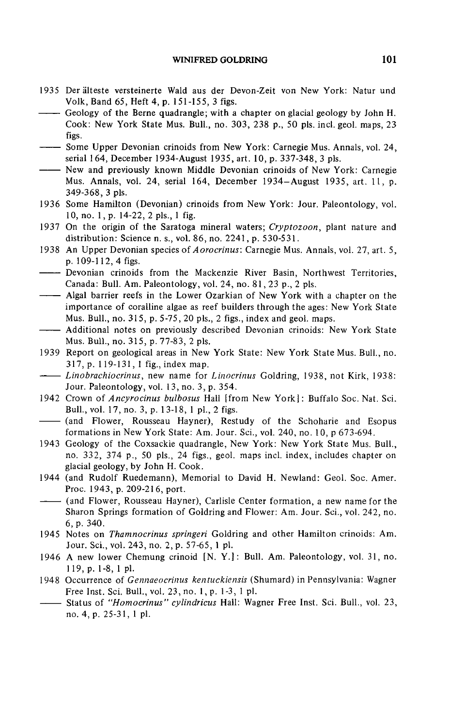- 1935 Der älteste versteinerte Wald aus der Devon-Zeit von New York: Natur und Volk, Band 65, Heft 4, p. 151-155, 3 figs.
- Geology of the Berne quadrangle; with a chapter on glacial geology by John H. Cook: New York State Mus. Bull., no. 303, 238 p., 50 pis. incl. geol. maps, 23 figs.
- ------- Some Upper Devonian crinoids from New York: Carnegie Mus. Annals, vol. 24, serial 164, December 1934-August 1935, art. 10, p. 337-348, 3 pis.
- ------- New and previously known Middle Devonian crinoids of New York: Carnegie Mus. Annals, vol. 24, serial 164, December 1934-August 1935, art. 11, p. 349-368, 3 pis.
- 1936 Some Hamilton (Devonian) crinoids from New York: Jour. Paleontology, vol. 10, no. 1, p. 14-22, 2 pis., 1 fig.
- 1937 On the origin of the Saratoga mineral waters; *Cryptozoon*, plant nature and distribution: Science n. s., vol. 86, no. 2241, p. 530-531.
- 1938 An Upper Devonian species of *A orocrinus*: Carnegie Mus. Annals, vol. 27, art. 5, p. 109-112, 4 figs.
- Devonian crinoids from the Mackenzie River Basin, Northwest Territories, Canada: Bull. Am. Paleontology, vol. 24, no. 81, 23 p., 2 pis.
- ------- Algal barrier reefs in the Lower Ozarkian of New York with a chapter on the importance of coralline algae as reef builders through the ages: New York State Mus. Bull., no. 315, p. 5-75, 20 pis., 2 figs., index and geol. maps.
- ------- Additional notes on previously described Devonian crinoids: New York State Mus. Bull., no. 315, p. 77-83, 2 pis.
- 1939 Report on geological areas in New York State: New York State Mus. Bull., no. 317, p. 119-131, 1 fig., index map.
- Linobrachiocrinus, new name for Linocrinus Goldring, 1938, not Kirk, 1938: Jour. Paleontology, vol. 13, no. 3, p. 354.
- 1942 Crown of *Ancyrocinus bulbosus* Hall [from New York]: Buffalo Soc. Nat. Sci. Bull., vol. 17, no. 3, p. 13-18, 1 pl., 2 figs.
- ------- (and Flower, Rousseau Hayner), Restudy of the Schoharie and Esopus formations in New York State: Am. Jour. Sei., vol. 240, no. 10, p 673-694.
- 1943 Geology of the Coxsackie quadrangle, New York: New York State Mus. Bull., no. 332, 374 p., 50 pis., 24 figs., geol. maps incl. index, includes chapter on glacial geology, by John H. Cook.
- 1944 (and Rudolf Ruedemann), Memorial to David H. Newland: Geol. Soc. Amer. Proc. 1943, p. 209-216, port.
- ------- (and Flower, Rousseau Hayner), Carlisle Center formation, a new name for the Sharon Springs formation of Goldring and Flower: Am. Jour. Sei., vol. 242, no. 6, p. 340.
- 1945 Notes on *Thamnocrinus springeri* Goldring and other Hamilton crinoids: Am. Jour. Sei., vol. 243, no. 2, p. 57-65, 1 pi.
- 1946 A new lower Chemung crinoid [N. Y.]: Bull. Am. Paleontology, vol. 31, no. 119, p. 1-8, 1 pi.
- 1948 Occurrence of *Gennaeocrinus kentuckiensis* (Shumard) in Pennsylvania: Wagner Free Inst. Sei. Bull., vol. 23, no. 1, p. 1-3, 1 pi.
- ------- Status of *" H o m o c rin u s" cylin d ricu s* Hall: Wagner Free Inst. Sei. Bull., vol. 23, no. 4, p. 25-3 1,1 pi.